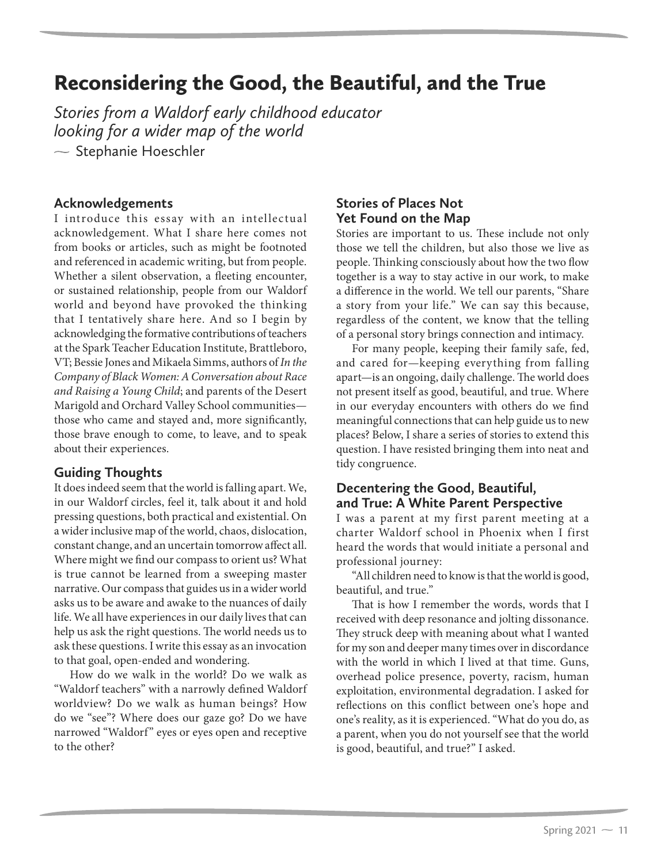# Reconsidering the Good, the Beautiful, and the True

*Stories from a Waldorf early childhood educator looking for a wider map of the world*  $\sim$  Stephanie Hoeschler

#### **Acknowledgements**

I introduce this essay with an intellectual acknowledgement. What I share here comes not from books or articles, such as might be footnoted and referenced in academic writing, but from people. Whether a silent observation, a fleeting encounter, or sustained relationship, people from our Waldorf world and beyond have provoked the thinking that I tentatively share here. And so I begin by acknowledging the formative contributions of teachers at the Spark Teacher Education Institute, Brattleboro, VT; Bessie Jones and Mikaela Simms, authors of *In the Company of Black Women: A Conversation about Race and Raising a Young Child*; and parents of the Desert Marigold and Orchard Valley School communities those who came and stayed and, more significantly, those brave enough to come, to leave, and to speak about their experiences.

# **Guiding Thoughts**

It does indeed seem that the world is falling apart. We, in our Waldorf circles, feel it, talk about it and hold pressing questions, both practical and existential. On a wider inclusive map of the world, chaos, dislocation, constant change, and an uncertain tomorrow affect all. Where might we find our compass to orient us? What is true cannot be learned from a sweeping master narrative. Our compass that guides us in a wider world asks us to be aware and awake to the nuances of daily life. We all have experiences in our daily lives that can help us ask the right questions. The world needs us to ask these questions. I write this essay as an invocation to that goal, open-ended and wondering.

How do we walk in the world? Do we walk as "Waldorf teachers" with a narrowly defined Waldorf worldview? Do we walk as human beings? How do we "see"? Where does our gaze go? Do we have narrowed "Waldorf" eyes or eyes open and receptive to the other?

# **Stories of Places Not Yet Found on the Map**

Stories are important to us. These include not only those we tell the children, but also those we live as people. Thinking consciously about how the two flow together is a way to stay active in our work, to make a difference in the world. We tell our parents, "Share a story from your life." We can say this because, regardless of the content, we know that the telling of a personal story brings connection and intimacy.

For many people, keeping their family safe, fed, and cared for—keeping everything from falling apart—is an ongoing, daily challenge. The world does not present itself as good, beautiful, and true. Where in our everyday encounters with others do we find meaningful connections that can help guide us to new places? Below, I share a series of stories to extend this question. I have resisted bringing them into neat and tidy congruence.

# **Decentering the Good, Beautiful, and True: A White Parent Perspective**

I was a parent at my first parent meeting at a charter Waldorf school in Phoenix when I first heard the words that would initiate a personal and professional journey:

"All children need to know is that the world is good, beautiful, and true."

That is how I remember the words, words that I received with deep resonance and jolting dissonance. They struck deep with meaning about what I wanted for my son and deeper many times over in discordance with the world in which I lived at that time. Guns, overhead police presence, poverty, racism, human exploitation, environmental degradation. I asked for reflections on this conflict between one's hope and one's reality, as it is experienced. "What do you do, as a parent, when you do not yourself see that the world is good, beautiful, and true?" I asked.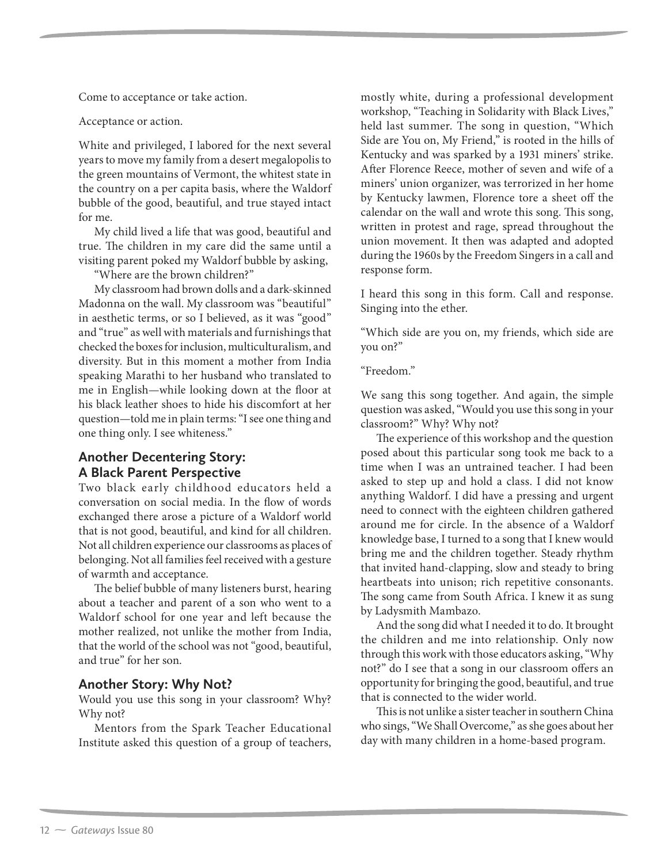Come to acceptance or take action.

Acceptance or action.

White and privileged, I labored for the next several years to move my family from a desert megalopolis to the green mountains of Vermont, the whitest state in the country on a per capita basis, where the Waldorf bubble of the good, beautiful, and true stayed intact for me.

My child lived a life that was good, beautiful and true. The children in my care did the same until a visiting parent poked my Waldorf bubble by asking,

"Where are the brown children?"

My classroom had brown dolls and a dark-skinned Madonna on the wall. My classroom was "beautiful" in aesthetic terms, or so I believed, as it was "good" and "true" as well with materials and furnishings that checked the boxes for inclusion, multiculturalism, and diversity. But in this moment a mother from India speaking Marathi to her husband who translated to me in English—while looking down at the floor at his black leather shoes to hide his discomfort at her question—told me in plain terms: "I see one thing and one thing only. I see whiteness."

#### **Another Decentering Story: A Black Parent Perspective**

Two black early childhood educators held a conversation on social media. In the flow of words exchanged there arose a picture of a Waldorf world that is not good, beautiful, and kind for all children. Not all children experience our classrooms as places of belonging. Not all families feel received with a gesture of warmth and acceptance.

The belief bubble of many listeners burst, hearing about a teacher and parent of a son who went to a Waldorf school for one year and left because the mother realized, not unlike the mother from India, that the world of the school was not "good, beautiful, and true" for her son.

#### **Another Story: Why Not?**

Would you use this song in your classroom? Why? Why not?

Mentors from the Spark Teacher Educational Institute asked this question of a group of teachers, mostly white, during a professional development workshop, "Teaching in Solidarity with Black Lives," held last summer. The song in question, "Which Side are You on, My Friend," is rooted in the hills of Kentucky and was sparked by a 1931 miners' strike. After Florence Reece, mother of seven and wife of a miners' union organizer, was terrorized in her home by Kentucky lawmen, Florence tore a sheet off the calendar on the wall and wrote this song. This song, written in protest and rage, spread throughout the union movement. It then was adapted and adopted during the 1960s by the Freedom Singers in a call and response form.

I heard this song in this form. Call and response. Singing into the ether.

"Which side are you on, my friends, which side are you on?"

"Freedom."

We sang this song together. And again, the simple question was asked, "Would you use this song in your classroom?" Why? Why not?

The experience of this workshop and the question posed about this particular song took me back to a time when I was an untrained teacher. I had been asked to step up and hold a class. I did not know anything Waldorf. I did have a pressing and urgent need to connect with the eighteen children gathered around me for circle. In the absence of a Waldorf knowledge base, I turned to a song that I knew would bring me and the children together. Steady rhythm that invited hand-clapping, slow and steady to bring heartbeats into unison; rich repetitive consonants. The song came from South Africa. I knew it as sung by Ladysmith Mambazo.

And the song did what I needed it to do. It brought the children and me into relationship. Only now through this work with those educators asking, "Why not?" do I see that a song in our classroom offers an opportunity for bringing the good, beautiful, and true that is connected to the wider world.

This is not unlike a sister teacher in southern China who sings, "We Shall Overcome," as she goes about her day with many children in a home-based program.